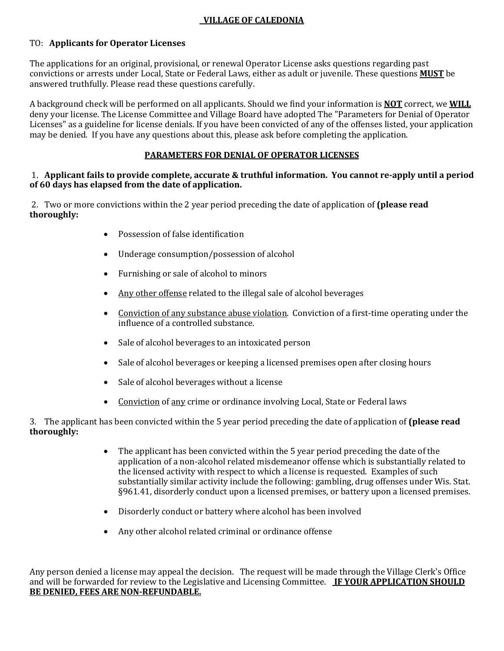## **VILLAGE OF CALEDONIA**

## TO: **Applicants for Operator Licenses**

The applications for an original, provisional, or renewal Operator License asks questions regarding past convictions or arrests under Local, State or Federal Laws, either as adult or juvenile. These questions **MUST** be answered truthfully. Please read these questions carefully.

A background check will be performed on all applicants. Should we find your information is **NOT** correct, we **WILL** deny your license. The License Committee and Village Board have adopted The "Parameters for Denial of Operator Licenses" as a guideline for license denials. If you have been convicted of any of the offenses listed, your application may be denied. If you have any questions about this, please ask before completing the application.

## **PARAMETERS FOR DENIAL OF OPERATOR LICENSES**

## 1. **Applicant fails to provide complete, accurate & truthful information. You cannot re-apply until a period of 60 days has elapsed from the date of application.**

2. Two or more convictions within the 2 year period preceding the date of application of **(please read thoroughly:** 

- Possession of false identification
- Underage consumption/possession of alcohol
- Furnishing or sale of alcohol to minors
- Any other offense related to the illegal sale of alcohol beverages
- Conviction of any substance abuse violation. Conviction of a first-time operating under the influence of a controlled substance.
- Sale of alcohol beverages to an intoxicated person
- Sale of alcohol beverages or keeping a licensed premises open after closing hours
- Sale of alcohol beverages without a license
- Conviction of any crime or ordinance involving Local, State or Federal laws

3. The applicant has been convicted within the 5 year period preceding the date of application of **(please read thoroughly:**

- The applicant has been convicted within the 5 year period preceding the date of the application of a non-alcohol related misdemeanor offense which is substantially related to the licensed activity with respect to which a license is requested. Examples of such substantially similar activity include the following: gambling, drug offenses under Wis. Stat. §961.41, disorderly conduct upon a licensed premises, or battery upon a licensed premises.
- Disorderly conduct or battery where alcohol has been involved
- Any other alcohol related criminal or ordinance offense

Any person denied a license may appeal the decision. The request will be made through the Village Clerk's Office and will be forwarded for review to the Legislative and Licensing Committee. **IF YOUR APPLICATION SHOULD BE DENIED, FEES ARE NON-REFUNDABLE.**